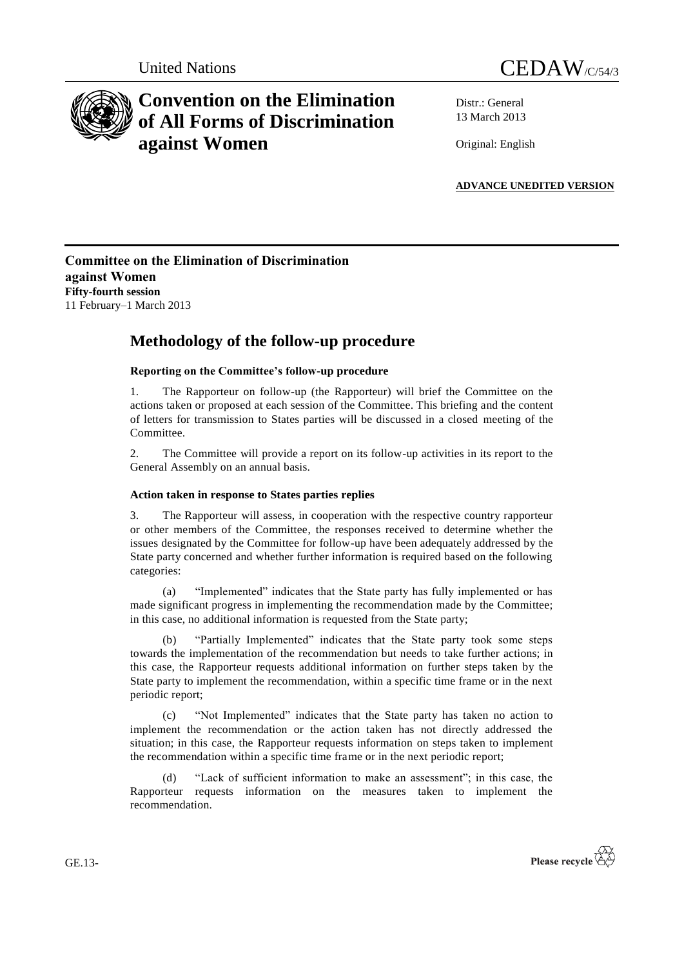



# **Convention on the Elimination of All Forms of Discrimination against Women**

Distr.: General 13 March 2013

Original: English

**ADVANCE UNEDITED VERSION**

### **Committee on the Elimination of Discrimination against Women Fifty-fourth session** 11 February–1 March 2013

## **Methodology of the follow-up procedure**

#### **Reporting on the Committee's follow-up procedure**

1. The Rapporteur on follow-up (the Rapporteur) will brief the Committee on the actions taken or proposed at each session of the Committee. This briefing and the content of letters for transmission to States parties will be discussed in a closed meeting of the Committee.

2. The Committee will provide a report on its follow-up activities in its report to the General Assembly on an annual basis.

#### **Action taken in response to States parties replies**

3. The Rapporteur will assess, in cooperation with the respective country rapporteur or other members of the Committee, the responses received to determine whether the issues designated by the Committee for follow-up have been adequately addressed by the State party concerned and whether further information is required based on the following categories:

(a) "Implemented" indicates that the State party has fully implemented or has made significant progress in implementing the recommendation made by the Committee; in this case, no additional information is requested from the State party;

(b) "Partially Implemented" indicates that the State party took some steps towards the implementation of the recommendation but needs to take further actions; in this case, the Rapporteur requests additional information on further steps taken by the State party to implement the recommendation, within a specific time frame or in the next periodic report;

(c) ―Not Implemented‖ indicates that the State party has taken no action to implement the recommendation or the action taken has not directly addressed the situation; in this case, the Rapporteur requests information on steps taken to implement the recommendation within a specific time frame or in the next periodic report;

(d) "Lack of sufficient information to make an assessment"; in this case, the Rapporteur requests information on the measures taken to implement the recommendation.



GE.13-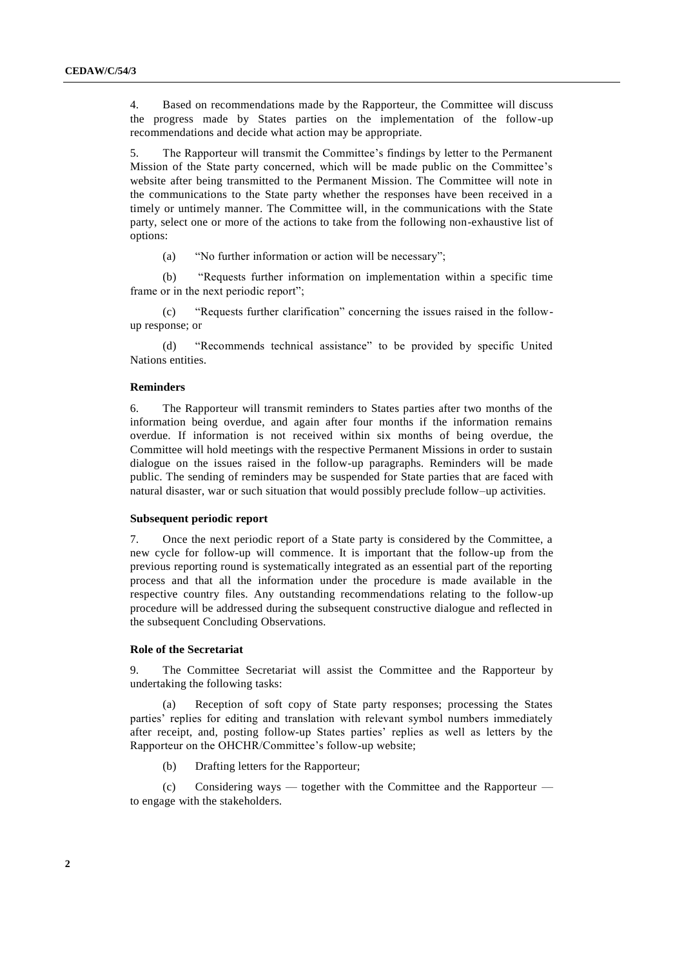4. Based on recommendations made by the Rapporteur, the Committee will discuss the progress made by States parties on the implementation of the follow-up recommendations and decide what action may be appropriate.

5. The Rapporteur will transmit the Committee's findings by letter to the Permanent Mission of the State party concerned, which will be made public on the Committee's website after being transmitted to the Permanent Mission. The Committee will note in the communications to the State party whether the responses have been received in a timely or untimely manner. The Committee will, in the communications with the State party, select one or more of the actions to take from the following non-exhaustive list of options:

(a)  $\degree$  "No further information or action will be necessary";

(b) ―Requests further information on implementation within a specific time frame or in the next periodic report";

(c) "Requests further clarification" concerning the issues raised in the followup response; or

(d) "Recommends technical assistance" to be provided by specific United Nations entities.

#### **Reminders**

6. The Rapporteur will transmit reminders to States parties after two months of the information being overdue, and again after four months if the information remains overdue. If information is not received within six months of being overdue, the Committee will hold meetings with the respective Permanent Missions in order to sustain dialogue on the issues raised in the follow-up paragraphs. Reminders will be made public. The sending of reminders may be suspended for State parties that are faced with natural disaster, war or such situation that would possibly preclude follow–up activities.

#### **Subsequent periodic report**

7. Once the next periodic report of a State party is considered by the Committee, a new cycle for follow-up will commence. It is important that the follow-up from the previous reporting round is systematically integrated as an essential part of the reporting process and that all the information under the procedure is made available in the respective country files. Any outstanding recommendations relating to the follow-up procedure will be addressed during the subsequent constructive dialogue and reflected in the subsequent Concluding Observations.

#### **Role of the Secretariat**

9. The Committee Secretariat will assist the Committee and the Rapporteur by undertaking the following tasks:

(a) Reception of soft copy of State party responses; processing the States parties' replies for editing and translation with relevant symbol numbers immediately after receipt, and, posting follow-up States parties' replies as well as letters by the Rapporteur on the OHCHR/Committee's follow-up website;

(b) Drafting letters for the Rapporteur;

(c) Considering ways — together with the Committee and the Rapporteur to engage with the stakeholders.